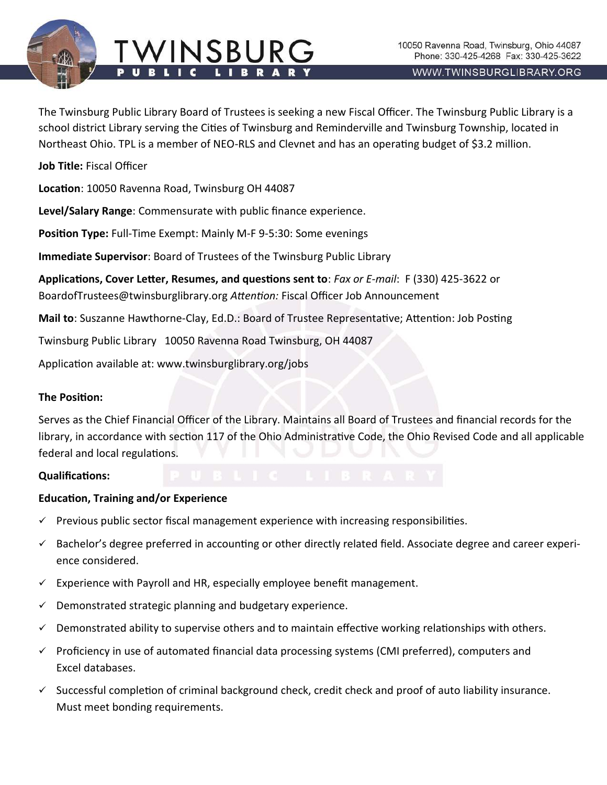

WWW.TWINSBURGLIBRARY.ORG

The Twinsburg Public Library Board of Trustees is seeking a new Fiscal Officer. The Twinsburg Public Library is a school district Library serving the Cities of Twinsburg and Reminderville and Twinsburg Township, located in Northeast Ohio. TPL is a member of NEO-RLS and Clevnet and has an operating budget of \$3.2 million.

**Job Title:** Fiscal Officer

**Location**: 10050 Ravenna Road, Twinsburg OH 44087

**Level/Salary Range**: Commensurate with public finance experience.

**Position Type:** Full-Time Exempt: Mainly M-F 9-5:30: Some evenings

**Immediate Supervisor**: Board of Trustees of the Twinsburg Public Library

**Applications, Cover Letter, Resumes, and questions sent to**: *Fax or E-mail*: F (330) 425-3622 or BoardofTrustees@twinsburglibrary.org *Attention:* Fiscal Officer Job Announcement

**Mail to**: Suszanne Hawthorne-Clay, Ed.D.: Board of Trustee Representative; Attention: Job Posting

Twinsburg Public Library 10050 Ravenna Road Twinsburg, OH 44087

Application available at: www.twinsburglibrary.org/jobs

## **The Position:**

Serves as the Chief Financial Officer of the Library. Maintains all Board of Trustees and financial records for the library, in accordance with section 117 of the Ohio Administrative Code, the Ohio Revised Code and all applicable federal and local regulations.

### **Qualifications:**

# **Education, Training and/or Experience**

- $\checkmark$  Previous public sector fiscal management experience with increasing responsibilities.
- ✓ Bachelor's degree preferred in accounting or other directly related field. Associate degree and career experience considered.
- $\checkmark$  Experience with Payroll and HR, especially employee benefit management.
- $\checkmark$  Demonstrated strategic planning and budgetary experience.
- $\checkmark$  Demonstrated ability to supervise others and to maintain effective working relationships with others.
- ✓ Proficiency in use of automated financial data processing systems (CMI preferred), computers and Excel databases.
- $\checkmark$  Successful completion of criminal background check, credit check and proof of auto liability insurance. Must meet bonding requirements.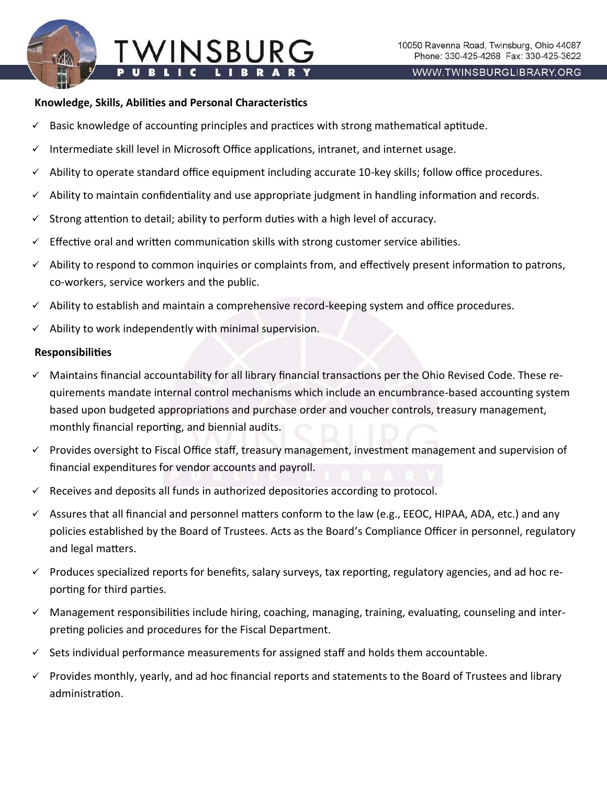## **Knowledge, Skills, Abilities and Personal Characteristics**

- $\checkmark$  Basic knowledge of accounting principles and practices with strong mathematical aptitude.
- $\checkmark$  Intermediate skill level in Microsoft Office applications, intranet, and internet usage.

WINSBUR

- $\checkmark$  Ability to operate standard office equipment including accurate 10-key skills; follow office procedures.
- Ability to maintain confidentiality and use appropriate judgment in handling information and records.
- $\checkmark$  Strong attention to detail; ability to perform duties with a high level of accuracy.
- $\checkmark$  Effective oral and written communication skills with strong customer service abilities.
- ✓ Ability to respond to common inquiries or complaints from, and effectively present information to patrons, co-workers, service workers and the public.
- ✓ Ability to establish and maintain a comprehensive record-keeping system and office procedures.
- $\checkmark$  Ability to work independently with minimal supervision.

## **Responsibilities**

- ✓ Maintains financial accountability for all library financial transactions per the Ohio Revised Code. These requirements mandate internal control mechanisms which include an encumbrance-based accounting system based upon budgeted appropriations and purchase order and voucher controls, treasury management, monthly financial reporting, and biennial audits.
- $\checkmark$  Provides oversight to Fiscal Office staff, treasury management, investment management and supervision of financial expenditures for vendor accounts and payroll.
- $\checkmark$  Receives and deposits all funds in authorized depositories according to protocol.
- ✓ Assures that all financial and personnel matters conform to the law (e.g., EEOC, HIPAA, ADA, etc.) and any policies established by the Board of Trustees. Acts as the Board's Compliance Officer in personnel, regulatory and legal matters.
- ✓ Produces specialized reports for benefits, salary surveys, tax reporting, regulatory agencies, and ad hoc reporting for third parties.
- $\checkmark$  Management responsibilities include hiring, coaching, managing, training, evaluating, counseling and interpreting policies and procedures for the Fiscal Department.
- $\checkmark$  Sets individual performance measurements for assigned staff and holds them accountable.
- $\checkmark$  Provides monthly, yearly, and ad hoc financial reports and statements to the Board of Trustees and library administration.